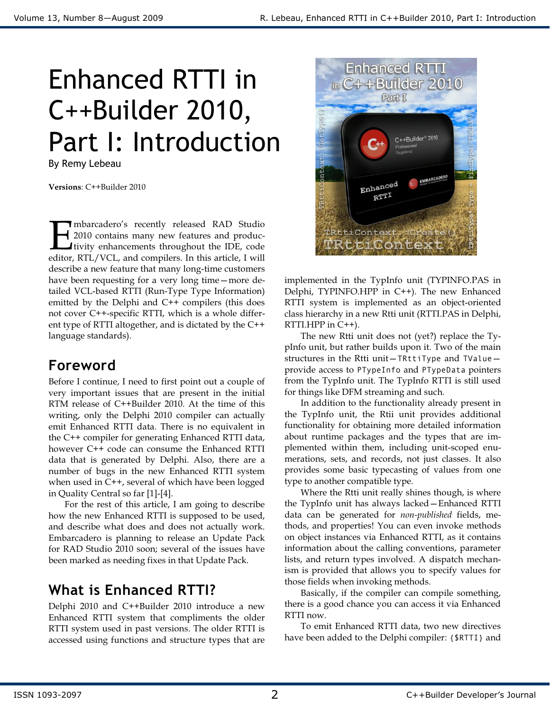# Enhanced RTTI in C++Builder 2010, Part I: Introduction

By Remy Lebeau

**Versions**: C++Builder 2010

**T**mbarcadero's recently released RAD Studio 2010 contains many new features and produc-Itivity enhancements throughout the IDE, code mbarcadero's recently released RAD Studio<br>
2010 contains many new features and productivity enhancements throughout the IDE, code<br>
editor, RTL/VCL, and compilers. In this article, I will describe a new feature that many long-time customers have been requesting for a very long time—more detailed VCL-based RTTI (Run-Type Type Information) emitted by the Delphi and C++ compilers (this does not cover C++-specific RTTI, which is a whole different type of RTTI altogether, and is dictated by the C++ language standards).

## **Foreword**

Before I continue, I need to first point out a couple of very important issues that are present in the initial RTM release of C++Builder 2010. At the time of this writing, only the Delphi 2010 compiler can actually emit Enhanced RTTI data. There is no equivalent in the C++ compiler for generating Enhanced RTTI data, however C++ code can consume the Enhanced RTTI data that is generated by Delphi. Also, there are a number of bugs in the new Enhanced RTTI system when used in C++, several of which have been logged in Quality Central so far [1]-[4].

 For the rest of this article, I am going to describe how the new Enhanced RTTI is supposed to be used, and describe what does and does not actually work. Embarcadero is planning to release an Update Pack for RAD Studio 2010 soon; several of the issues have been marked as needing fixes in that Update Pack.

## **What is Enhanced RTTI?**

Delphi 2010 and C++Builder 2010 introduce a new Enhanced RTTI system that compliments the older RTTI system used in past versions. The older RTTI is accessed using functions and structure types that are



implemented in the TypInfo unit (TYPINFO.PAS in Delphi, TYPINFO.HPP in C++). The new Enhanced RTTI system is implemented as an object-oriented class hierarchy in a new Rtti unit (RTTI.PAS in Delphi, RTTI.HPP in C++).

 The new Rtti unit does not (yet?) replace the TypInfo unit, but rather builds upon it. Two of the main structures in the Rtti unit—TRttiType and TValue provide access to PTypeInfo and PTypeData pointers from the TypInfo unit. The TypInfo RTTI is still used for things like DFM streaming and such.

 In addition to the functionality already present in the TypInfo unit, the Rtii unit provides additional functionality for obtaining more detailed information about runtime packages and the types that are implemented within them, including unit-scoped enumerations, sets, and records, not just classes. It also provides some basic typecasting of values from one type to another compatible type.

 Where the Rtti unit really shines though, is where the TypInfo unit has always lacked—Enhanced RTTI data can be generated for *non-published* fields, methods, and properties! You can even invoke methods on object instances via Enhanced RTTI, as it contains information about the calling conventions, parameter lists, and return types involved. A dispatch mechanism is provided that allows you to specify values for those fields when invoking methods.

 Basically, if the compiler can compile something, there is a good chance you can access it via Enhanced RTTI now.

 To emit Enhanced RTTI data, two new directives have been added to the Delphi compiler: {\$RTTI} and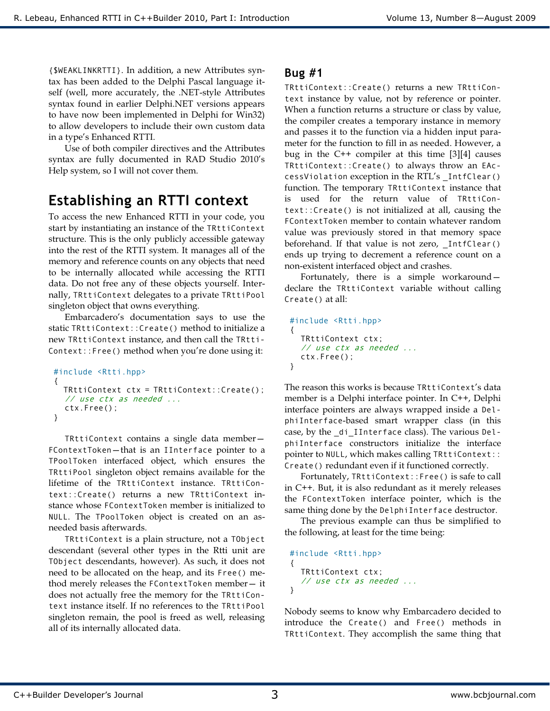{\$WEAKLINKRTTI}. In addition, a new Attributes syntax has been added to the Delphi Pascal language itself (well, more accurately, the .NET-style Attributes syntax found in earlier Delphi.NET versions appears to have now been implemented in Delphi for Win32) to allow developers to include their own custom data in a type's Enhanced RTTI.

 Use of both compiler directives and the Attributes syntax are fully documented in RAD Studio 2010's Help system, so I will not cover them.

## **Establishing an RTTI context**

To access the new Enhanced RTTI in your code, you start by instantiating an instance of the TRttiContext structure. This is the only publicly accessible gateway into the rest of the RTTI system. It manages all of the memory and reference counts on any objects that need to be internally allocated while accessing the RTTI data. Do not free any of these objects yourself. Internally, TRttiContext delegates to a private TRttiPool singleton object that owns everything.

Embarcadero's documentation says to use the static TRttiContext::Create() method to initialize a new TRttiContext instance, and then call the TRtti-Context::Free() method when you're done using it:

```
#include <Rtti.hpp> 
{ 
   TRttiContext ctx = TRttiContext::Create(); 
  // use ctx as needed ... 
   ctx.Free(); 
}
```
 TRttiContext contains a single data member— FContextToken—that is an IInterface pointer to a TPoolToken interfaced object, which ensures the TRttiPool singleton object remains available for the lifetime of the TRttiContext instance. TRttiContext::Create() returns a new TRttiContext instance whose FContextToken member is initialized to NULL. The TPoolToken object is created on an asneeded basis afterwards.

 TRttiContext is a plain structure, not a TObject descendant (several other types in the Rtti unit are TObject descendants, however). As such, it does not need to be allocated on the heap, and its Free() method merely releases the FContextToken member— it does not actually free the memory for the TRttiContext instance itself. If no references to the TRttiPool singleton remain, the pool is freed as well, releasing all of its internally allocated data.

#### **Bug #1**

TRttiContext::Create() returns a new TRttiContext instance by value, not by reference or pointer. When a function returns a structure or class by value, the compiler creates a temporary instance in memory and passes it to the function via a hidden input parameter for the function to fill in as needed. However, a bug in the C++ compiler at this time [3][4] causes TRttiContext::Create() to always throw an EAccessViolation exception in the RTL's \_IntfClear() function. The temporary TRttiContext instance that is used for the return value of TRttiContext::Create() is not initialized at all, causing the FContextToken member to contain whatever random value was previously stored in that memory space beforehand. If that value is not zero, \_IntfClear() ends up trying to decrement a reference count on a non-existent interfaced object and crashes.

Fortunately, there is a simple workaround declare the TRttiContext variable without calling Create() at all:

```
#include <Rtti.hpp> 
{ 
   TRttiContext ctx; 
  // use ctx as needed ... 
   ctx.Free(); 
}
```
The reason this works is because TRttiContext's data member is a Delphi interface pointer. In C++, Delphi interface pointers are always wrapped inside a DelphiInterface-based smart wrapper class (in this case, by the \_di\_IInterface class). The various DelphiInterface constructors initialize the interface pointer to NULL, which makes calling TRttiContext:: Create() redundant even if it functioned correctly.

Fortunately, TRttiContext::Free() is safe to call in C++. But, it is also redundant as it merely releases the FContextToken interface pointer, which is the same thing done by the DelphiInterface destructor.

The previous example can thus be simplified to the following, at least for the time being:

```
#include <Rtti.hpp> 
{ 
   TRttiContext ctx; 
  // use ctx as needed ... 
}
```
Nobody seems to know why Embarcadero decided to introduce the Create() and Free() methods in TRttiContext. They accomplish the same thing that